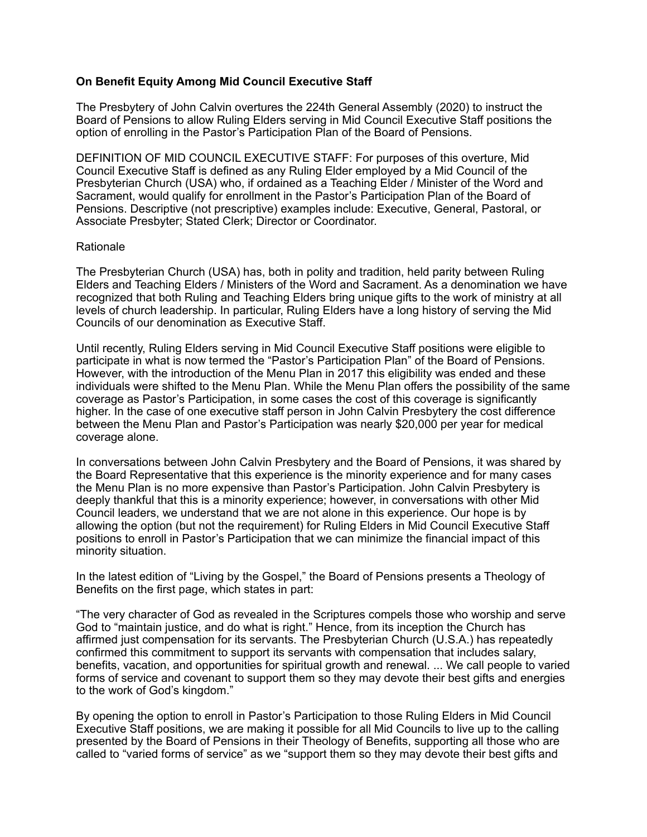## **On Benefit Equity Among Mid Council Executive Staff**

The Presbytery of John Calvin overtures the 224th General Assembly (2020) to instruct the Board of Pensions to allow Ruling Elders serving in Mid Council Executive Staff positions the option of enrolling in the Pastor's Participation Plan of the Board of Pensions.

DEFINITION OF MID COUNCIL EXECUTIVE STAFF: For purposes of this overture, Mid Council Executive Staff is defined as any Ruling Elder employed by a Mid Council of the Presbyterian Church (USA) who, if ordained as a Teaching Elder / Minister of the Word and Sacrament, would qualify for enrollment in the Pastor's Participation Plan of the Board of Pensions. Descriptive (not prescriptive) examples include: Executive, General, Pastoral, or Associate Presbyter; Stated Clerk; Director or Coordinator.

## Rationale

The Presbyterian Church (USA) has, both in polity and tradition, held parity between Ruling Elders and Teaching Elders / Ministers of the Word and Sacrament. As a denomination we have recognized that both Ruling and Teaching Elders bring unique gifts to the work of ministry at all levels of church leadership. In particular, Ruling Elders have a long history of serving the Mid Councils of our denomination as Executive Staff.

Until recently, Ruling Elders serving in Mid Council Executive Staff positions were eligible to participate in what is now termed the "Pastor's Participation Plan" of the Board of Pensions. However, with the introduction of the Menu Plan in 2017 this eligibility was ended and these individuals were shifted to the Menu Plan. While the Menu Plan offers the possibility of the same coverage as Pastor's Participation, in some cases the cost of this coverage is significantly higher. In the case of one executive staff person in John Calvin Presbytery the cost difference between the Menu Plan and Pastor's Participation was nearly \$20,000 per year for medical coverage alone.

In conversations between John Calvin Presbytery and the Board of Pensions, it was shared by the Board Representative that this experience is the minority experience and for many cases the Menu Plan is no more expensive than Pastor's Participation. John Calvin Presbytery is deeply thankful that this is a minority experience; however, in conversations with other Mid Council leaders, we understand that we are not alone in this experience. Our hope is by allowing the option (but not the requirement) for Ruling Elders in Mid Council Executive Staff positions to enroll in Pastor's Participation that we can minimize the financial impact of this minority situation.

In the latest edition of "Living by the Gospel," the Board of Pensions presents a Theology of Benefits on the first page, which states in part:

"The very character of God as revealed in the Scriptures compels those who worship and serve God to "maintain justice, and do what is right." Hence, from its inception the Church has affirmed just compensation for its servants. The Presbyterian Church (U.S.A.) has repeatedly confirmed this commitment to support its servants with compensation that includes salary, benefits, vacation, and opportunities for spiritual growth and renewal. ... We call people to varied forms of service and covenant to support them so they may devote their best gifts and energies to the work of God's kingdom."

By opening the option to enroll in Pastor's Participation to those Ruling Elders in Mid Council Executive Staff positions, we are making it possible for all Mid Councils to live up to the calling presented by the Board of Pensions in their Theology of Benefits, supporting all those who are called to "varied forms of service" as we "support them so they may devote their best gifts and